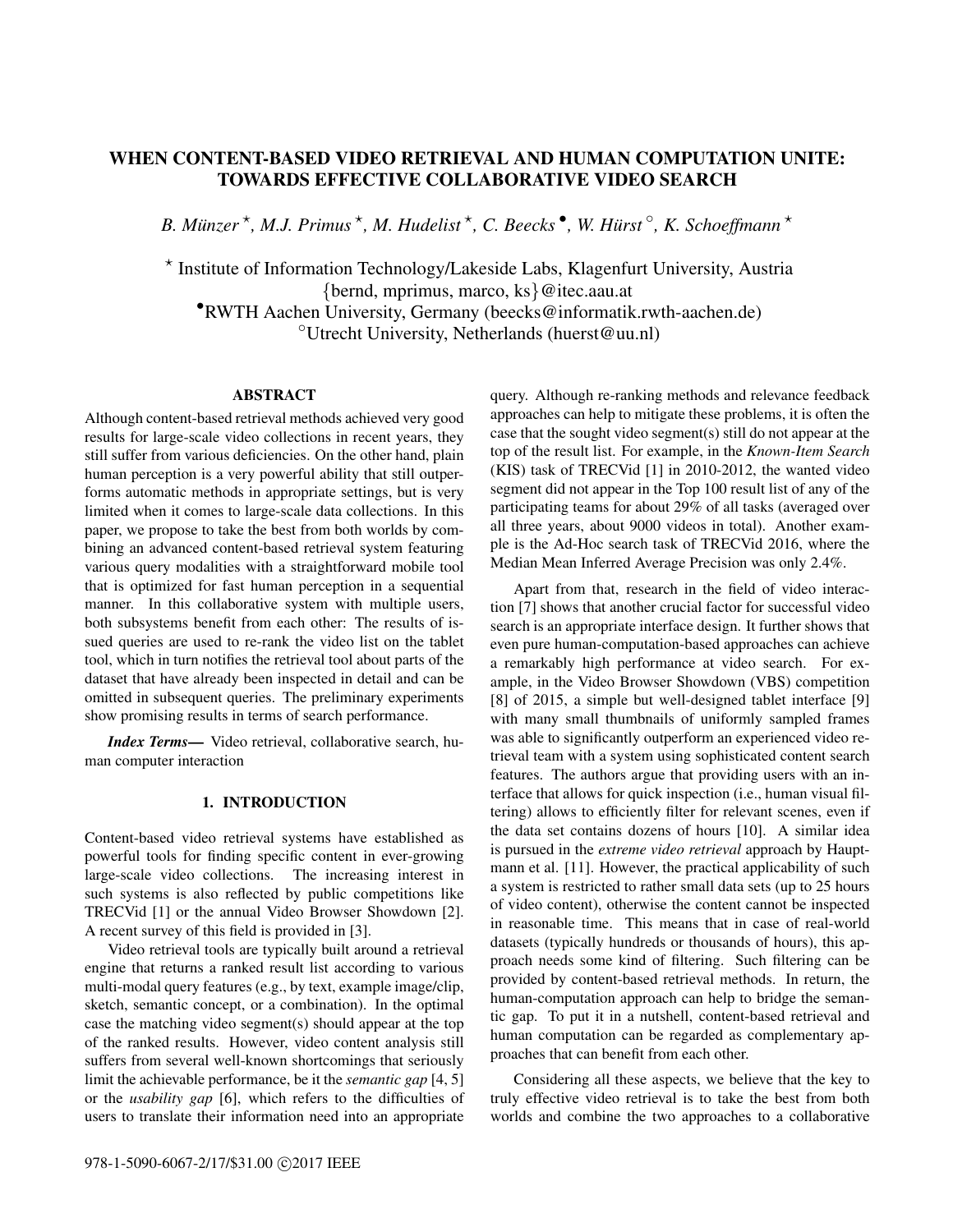# WHEN CONTENT-BASED VIDEO RETRIEVAL AND HUMAN COMPUTATION UNITE: TOWARDS EFFECTIVE COLLABORATIVE VIDEO SEARCH

*B. Münzer*<sup>\*</sup>, *M.J. Primus*<sup>\*</sup>, *M. Hudelist*<sup>\*</sup>, *C. Beecks*<sup>•</sup>, *W. Hürst*<sup>°</sup>, *K. Schoeffmann*<sup>\*</sup>

? Institute of Information Technology/Lakeside Labs, Klagenfurt University, Austria {bernd, mprimus, marco, ks}@itec.aau.at •RWTH Aachen University, Germany (beecks@informatik.rwth-aachen.de) ◦Utrecht University, Netherlands (huerst@uu.nl)

# ABSTRACT

Although content-based retrieval methods achieved very good results for large-scale video collections in recent years, they still suffer from various deficiencies. On the other hand, plain human perception is a very powerful ability that still outperforms automatic methods in appropriate settings, but is very limited when it comes to large-scale data collections. In this paper, we propose to take the best from both worlds by combining an advanced content-based retrieval system featuring various query modalities with a straightforward mobile tool that is optimized for fast human perception in a sequential manner. In this collaborative system with multiple users, both subsystems benefit from each other: The results of issued queries are used to re-rank the video list on the tablet tool, which in turn notifies the retrieval tool about parts of the dataset that have already been inspected in detail and can be omitted in subsequent queries. The preliminary experiments show promising results in terms of search performance.

*Index Terms*— Video retrieval, collaborative search, human computer interaction

### 1. INTRODUCTION

Content-based video retrieval systems have established as powerful tools for finding specific content in ever-growing large-scale video collections. The increasing interest in such systems is also reflected by public competitions like TRECVid [1] or the annual Video Browser Showdown [2]. A recent survey of this field is provided in [3].

Video retrieval tools are typically built around a retrieval engine that returns a ranked result list according to various multi-modal query features (e.g., by text, example image/clip, sketch, semantic concept, or a combination). In the optimal case the matching video segment(s) should appear at the top of the ranked results. However, video content analysis still suffers from several well-known shortcomings that seriously limit the achievable performance, be it the *semantic gap* [4, 5] or the *usability gap* [6], which refers to the difficulties of users to translate their information need into an appropriate query. Although re-ranking methods and relevance feedback approaches can help to mitigate these problems, it is often the case that the sought video segment(s) still do not appear at the top of the result list. For example, in the *Known-Item Search* (KIS) task of TRECVid [1] in 2010-2012, the wanted video segment did not appear in the Top 100 result list of any of the participating teams for about 29% of all tasks (averaged over all three years, about 9000 videos in total). Another example is the Ad-Hoc search task of TRECVid 2016, where the Median Mean Inferred Average Precision was only 2.4%.

Apart from that, research in the field of video interaction [7] shows that another crucial factor for successful video search is an appropriate interface design. It further shows that even pure human-computation-based approaches can achieve a remarkably high performance at video search. For example, in the Video Browser Showdown (VBS) competition [8] of 2015, a simple but well-designed tablet interface [9] with many small thumbnails of uniformly sampled frames was able to significantly outperform an experienced video retrieval team with a system using sophisticated content search features. The authors argue that providing users with an interface that allows for quick inspection (i.e., human visual filtering) allows to efficiently filter for relevant scenes, even if the data set contains dozens of hours [10]. A similar idea is pursued in the *extreme video retrieval* approach by Hauptmann et al. [11]. However, the practical applicability of such a system is restricted to rather small data sets (up to 25 hours of video content), otherwise the content cannot be inspected in reasonable time. This means that in case of real-world datasets (typically hundreds or thousands of hours), this approach needs some kind of filtering. Such filtering can be provided by content-based retrieval methods. In return, the human-computation approach can help to bridge the semantic gap. To put it in a nutshell, content-based retrieval and human computation can be regarded as complementary approaches that can benefit from each other.

Considering all these aspects, we believe that the key to truly effective video retrieval is to take the best from both worlds and combine the two approaches to a collaborative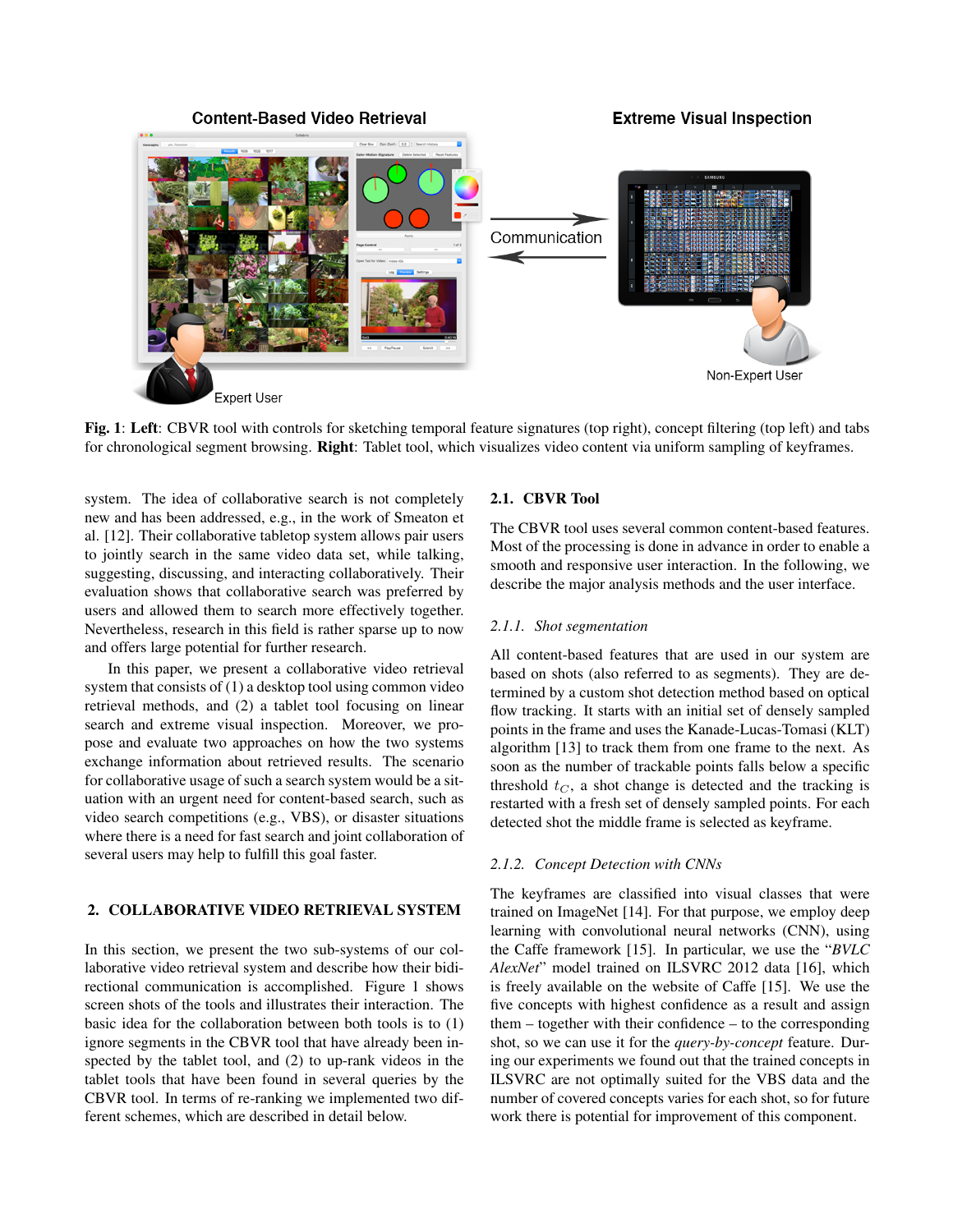

Fig. 1: Left: CBVR tool with controls for sketching temporal feature signatures (top right), concept filtering (top left) and tabs for chronological segment browsing. **Right**: Tablet tool, which visualizes video content via uniform sampling of keyframes.

system. The idea of collaborative search is not completely new and has been addressed, e.g., in the work of Smeaton et al. [12]. Their collaborative tabletop system allows pair users to jointly search in the same video data set, while talking, suggesting, discussing, and interacting collaboratively. Their evaluation shows that collaborative search was preferred by users and allowed them to search more effectively together. Nevertheless, research in this field is rather sparse up to now and offers large potential for further research.

In this paper, we present a collaborative video retrieval system that consists of (1) a desktop tool using common video retrieval methods, and (2) a tablet tool focusing on linear search and extreme visual inspection. Moreover, we propose and evaluate two approaches on how the two systems exchange information about retrieved results. The scenario for collaborative usage of such a search system would be a situation with an urgent need for content-based search, such as video search competitions (e.g., VBS), or disaster situations where there is a need for fast search and joint collaboration of several users may help to fulfill this goal faster.

#### 2. COLLABORATIVE VIDEO RETRIEVAL SYSTEM

In this section, we present the two sub-systems of our collaborative video retrieval system and describe how their bidirectional communication is accomplished. Figure 1 shows screen shots of the tools and illustrates their interaction. The basic idea for the collaboration between both tools is to (1) ignore segments in the CBVR tool that have already been inspected by the tablet tool, and (2) to up-rank videos in the tablet tools that have been found in several queries by the CBVR tool. In terms of re-ranking we implemented two different schemes, which are described in detail below.

## 2.1. CBVR Tool

The CBVR tool uses several common content-based features. Most of the processing is done in advance in order to enable a smooth and responsive user interaction. In the following, we describe the major analysis methods and the user interface.

### *2.1.1. Shot segmentation*

All content-based features that are used in our system are based on shots (also referred to as segments). They are determined by a custom shot detection method based on optical flow tracking. It starts with an initial set of densely sampled points in the frame and uses the Kanade-Lucas-Tomasi (KLT) algorithm [13] to track them from one frame to the next. As soon as the number of trackable points falls below a specific threshold  $t_C$ , a shot change is detected and the tracking is restarted with a fresh set of densely sampled points. For each detected shot the middle frame is selected as keyframe.

#### *2.1.2. Concept Detection with CNNs*

The keyframes are classified into visual classes that were trained on ImageNet [14]. For that purpose, we employ deep learning with convolutional neural networks (CNN), using the Caffe framework [15]. In particular, we use the "*BVLC AlexNet*" model trained on ILSVRC 2012 data [16], which is freely available on the website of Caffe [15]. We use the five concepts with highest confidence as a result and assign them – together with their confidence – to the corresponding shot, so we can use it for the *query-by-concept* feature. During our experiments we found out that the trained concepts in ILSVRC are not optimally suited for the VBS data and the number of covered concepts varies for each shot, so for future work there is potential for improvement of this component.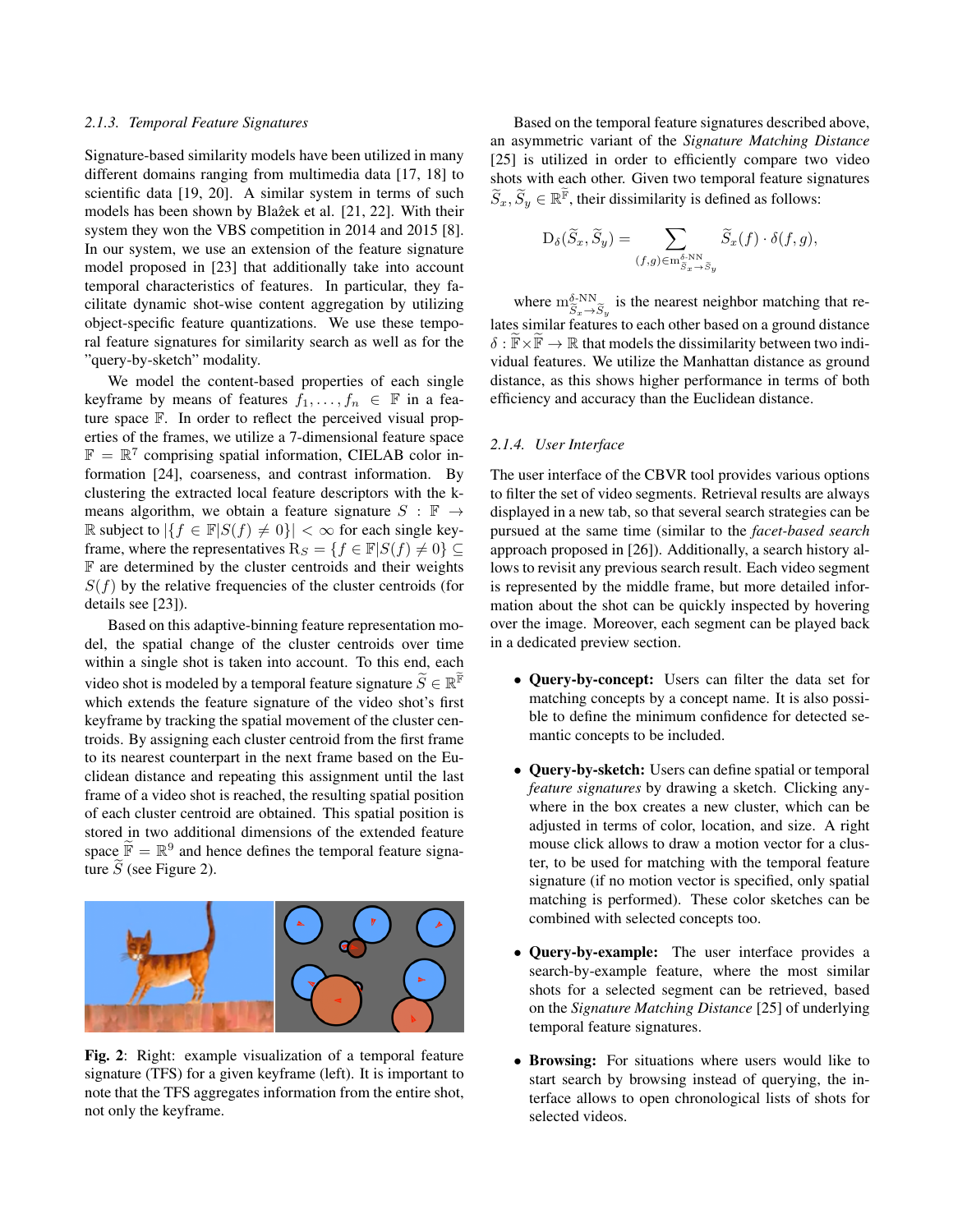#### *2.1.3. Temporal Feature Signatures*

Signature-based similarity models have been utilized in many different domains ranging from multimedia data [17, 18] to scientific data [19, 20]. A similar system in terms of such models has been shown by Blazek et al. [21, 22]. With their system they won the VBS competition in 2014 and 2015 [8]. In our system, we use an extension of the feature signature model proposed in [23] that additionally take into account temporal characteristics of features. In particular, they facilitate dynamic shot-wise content aggregation by utilizing object-specific feature quantizations. We use these temporal feature signatures for similarity search as well as for the "query-by-sketch" modality.

We model the content-based properties of each single keyframe by means of features  $f_1, \ldots, f_n \in \mathbb{F}$  in a feature space F. In order to reflect the perceived visual properties of the frames, we utilize a 7-dimensional feature space  $\mathbb{F} = \mathbb{R}^7$  comprising spatial information, CIELAB color information [24], coarseness, and contrast information. By clustering the extracted local feature descriptors with the kmeans algorithm, we obtain a feature signature  $S : \mathbb{F} \to$ R subject to  ${f \in \mathbb{F}|S(f) \neq 0}$  < ∞ for each single keyframe, where the representatives  $R_S = \{f \in \mathbb{F} | S(f) \neq 0\} \subseteq$ F are determined by the cluster centroids and their weights  $S(f)$  by the relative frequencies of the cluster centroids (for details see [23]).

Based on this adaptive-binning feature representation model, the spatial change of the cluster centroids over time within a single shot is taken into account. To this end, each video shot is modeled by a temporal feature signature  $\widetilde{S} \in \mathbb{R}^{\widetilde{\mathbb{F}}}$ which extends the feature signature of the video shot's first keyframe by tracking the spatial movement of the cluster centroids. By assigning each cluster centroid from the first frame to its nearest counterpart in the next frame based on the Euclidean distance and repeating this assignment until the last frame of a video shot is reached, the resulting spatial position of each cluster centroid are obtained. This spatial position is stored in two additional dimensions of the extended feature space  $\widetilde{\mathbb{F}} = \mathbb{R}^9$  and hence defines the temporal feature signature  $\tilde{S}$  (see Figure 2).



Fig. 2: Right: example visualization of a temporal feature signature (TFS) for a given keyframe (left). It is important to note that the TFS aggregates information from the entire shot, not only the keyframe.

Based on the temporal feature signatures described above, an asymmetric variant of the *Signature Matching Distance* [25] is utilized in order to efficiently compare two video shots with each other. Given two temporal feature signatures  $\widetilde{S}_x, \widetilde{S}_y \in \mathbb{R}^{\widetilde{\mathbb{F}}}$ , their dissimilarity is defined as follows:

$$
D_{\delta}(\widetilde{S}_x, \widetilde{S}_y) = \sum_{(f,g) \in m_{\widetilde{S}_x \to \widetilde{S}_y}} \widetilde{S}_x(f) \cdot \delta(f,g),
$$

where  $m_{\tilde{S}_x \to \tilde{S}_y}^{\delta \text{NN}}$  is the nearest neighbor matching that relates similar features to each other based on a ground distance  $\delta : \mathbb{F} \times \mathbb{F} \to \mathbb{R}$  that models the dissimilarity between two individual features. We utilize the Manhattan distance as ground distance, as this shows higher performance in terms of both efficiency and accuracy than the Euclidean distance.

#### *2.1.4. User Interface*

The user interface of the CBVR tool provides various options to filter the set of video segments. Retrieval results are always displayed in a new tab, so that several search strategies can be pursued at the same time (similar to the *facet-based search* approach proposed in [26]). Additionally, a search history allows to revisit any previous search result. Each video segment is represented by the middle frame, but more detailed information about the shot can be quickly inspected by hovering over the image. Moreover, each segment can be played back in a dedicated preview section.

- Query-by-concept: Users can filter the data set for matching concepts by a concept name. It is also possible to define the minimum confidence for detected semantic concepts to be included.
- Query-by-sketch: Users can define spatial or temporal *feature signatures* by drawing a sketch. Clicking anywhere in the box creates a new cluster, which can be adjusted in terms of color, location, and size. A right mouse click allows to draw a motion vector for a cluster, to be used for matching with the temporal feature signature (if no motion vector is specified, only spatial matching is performed). These color sketches can be combined with selected concepts too.
- Query-by-example: The user interface provides a search-by-example feature, where the most similar shots for a selected segment can be retrieved, based on the *Signature Matching Distance* [25] of underlying temporal feature signatures.
- Browsing: For situations where users would like to start search by browsing instead of querying, the interface allows to open chronological lists of shots for selected videos.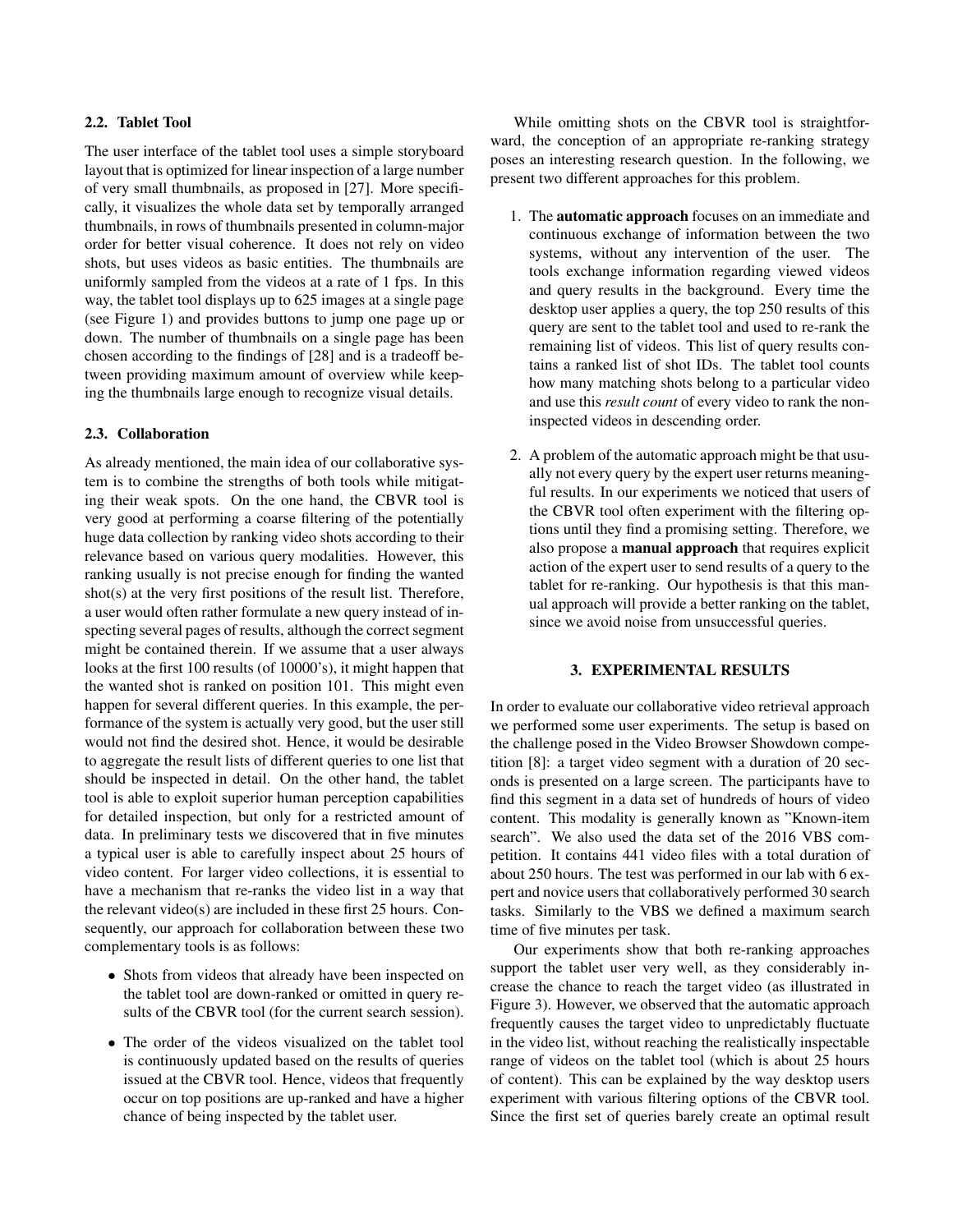### 2.2. Tablet Tool

The user interface of the tablet tool uses a simple storyboard layout that is optimized for linear inspection of a large number of very small thumbnails, as proposed in [27]. More specifically, it visualizes the whole data set by temporally arranged thumbnails, in rows of thumbnails presented in column-major order for better visual coherence. It does not rely on video shots, but uses videos as basic entities. The thumbnails are uniformly sampled from the videos at a rate of 1 fps. In this way, the tablet tool displays up to 625 images at a single page (see Figure 1) and provides buttons to jump one page up or down. The number of thumbnails on a single page has been chosen according to the findings of [28] and is a tradeoff between providing maximum amount of overview while keeping the thumbnails large enough to recognize visual details.

## 2.3. Collaboration

As already mentioned, the main idea of our collaborative system is to combine the strengths of both tools while mitigating their weak spots. On the one hand, the CBVR tool is very good at performing a coarse filtering of the potentially huge data collection by ranking video shots according to their relevance based on various query modalities. However, this ranking usually is not precise enough for finding the wanted shot(s) at the very first positions of the result list. Therefore, a user would often rather formulate a new query instead of inspecting several pages of results, although the correct segment might be contained therein. If we assume that a user always looks at the first 100 results (of 10000's), it might happen that the wanted shot is ranked on position 101. This might even happen for several different queries. In this example, the performance of the system is actually very good, but the user still would not find the desired shot. Hence, it would be desirable to aggregate the result lists of different queries to one list that should be inspected in detail. On the other hand, the tablet tool is able to exploit superior human perception capabilities for detailed inspection, but only for a restricted amount of data. In preliminary tests we discovered that in five minutes a typical user is able to carefully inspect about 25 hours of video content. For larger video collections, it is essential to have a mechanism that re-ranks the video list in a way that the relevant video(s) are included in these first 25 hours. Consequently, our approach for collaboration between these two complementary tools is as follows:

- Shots from videos that already have been inspected on the tablet tool are down-ranked or omitted in query results of the CBVR tool (for the current search session).
- The order of the videos visualized on the tablet tool is continuously updated based on the results of queries issued at the CBVR tool. Hence, videos that frequently occur on top positions are up-ranked and have a higher chance of being inspected by the tablet user.

While omitting shots on the CBVR tool is straightforward, the conception of an appropriate re-ranking strategy poses an interesting research question. In the following, we present two different approaches for this problem.

- 1. The automatic approach focuses on an immediate and continuous exchange of information between the two systems, without any intervention of the user. The tools exchange information regarding viewed videos and query results in the background. Every time the desktop user applies a query, the top 250 results of this query are sent to the tablet tool and used to re-rank the remaining list of videos. This list of query results contains a ranked list of shot IDs. The tablet tool counts how many matching shots belong to a particular video and use this *result count* of every video to rank the noninspected videos in descending order.
- 2. A problem of the automatic approach might be that usually not every query by the expert user returns meaningful results. In our experiments we noticed that users of the CBVR tool often experiment with the filtering options until they find a promising setting. Therefore, we also propose a manual approach that requires explicit action of the expert user to send results of a query to the tablet for re-ranking. Our hypothesis is that this manual approach will provide a better ranking on the tablet, since we avoid noise from unsuccessful queries.

#### 3. EXPERIMENTAL RESULTS

In order to evaluate our collaborative video retrieval approach we performed some user experiments. The setup is based on the challenge posed in the Video Browser Showdown competition [8]: a target video segment with a duration of 20 seconds is presented on a large screen. The participants have to find this segment in a data set of hundreds of hours of video content. This modality is generally known as "Known-item search". We also used the data set of the 2016 VBS competition. It contains 441 video files with a total duration of about 250 hours. The test was performed in our lab with 6 expert and novice users that collaboratively performed 30 search tasks. Similarly to the VBS we defined a maximum search time of five minutes per task.

Our experiments show that both re-ranking approaches support the tablet user very well, as they considerably increase the chance to reach the target video (as illustrated in Figure 3). However, we observed that the automatic approach frequently causes the target video to unpredictably fluctuate in the video list, without reaching the realistically inspectable range of videos on the tablet tool (which is about 25 hours of content). This can be explained by the way desktop users experiment with various filtering options of the CBVR tool. Since the first set of queries barely create an optimal result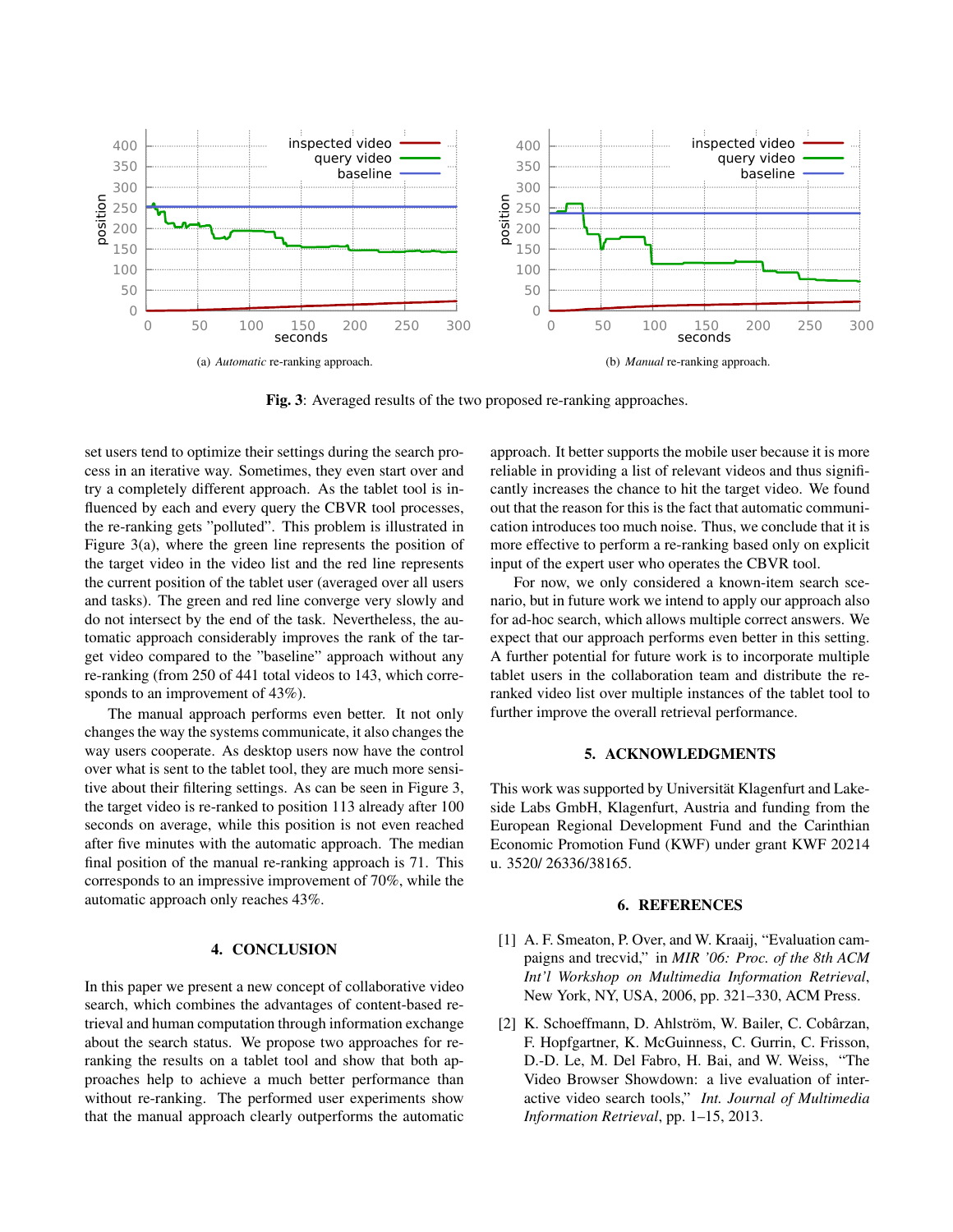

Fig. 3: Averaged results of the two proposed re-ranking approaches.

set users tend to optimize their settings during the search process in an iterative way. Sometimes, they even start over and try a completely different approach. As the tablet tool is influenced by each and every query the CBVR tool processes, the re-ranking gets "polluted". This problem is illustrated in Figure 3(a), where the green line represents the position of the target video in the video list and the red line represents the current position of the tablet user (averaged over all users and tasks). The green and red line converge very slowly and do not intersect by the end of the task. Nevertheless, the automatic approach considerably improves the rank of the target video compared to the "baseline" approach without any re-ranking (from 250 of 441 total videos to 143, which corresponds to an improvement of 43%).

The manual approach performs even better. It not only changes the way the systems communicate, it also changes the way users cooperate. As desktop users now have the control over what is sent to the tablet tool, they are much more sensitive about their filtering settings. As can be seen in Figure 3, the target video is re-ranked to position 113 already after 100 seconds on average, while this position is not even reached after five minutes with the automatic approach. The median final position of the manual re-ranking approach is 71. This corresponds to an impressive improvement of 70%, while the automatic approach only reaches 43%.

# 4. CONCLUSION

In this paper we present a new concept of collaborative video search, which combines the advantages of content-based retrieval and human computation through information exchange about the search status. We propose two approaches for reranking the results on a tablet tool and show that both approaches help to achieve a much better performance than without re-ranking. The performed user experiments show that the manual approach clearly outperforms the automatic approach. It better supports the mobile user because it is more reliable in providing a list of relevant videos and thus significantly increases the chance to hit the target video. We found out that the reason for this is the fact that automatic communication introduces too much noise. Thus, we conclude that it is more effective to perform a re-ranking based only on explicit input of the expert user who operates the CBVR tool.

For now, we only considered a known-item search scenario, but in future work we intend to apply our approach also for ad-hoc search, which allows multiple correct answers. We expect that our approach performs even better in this setting. A further potential for future work is to incorporate multiple tablet users in the collaboration team and distribute the reranked video list over multiple instances of the tablet tool to further improve the overall retrieval performance.

## 5. ACKNOWLEDGMENTS

This work was supported by Universität Klagenfurt and Lakeside Labs GmbH, Klagenfurt, Austria and funding from the European Regional Development Fund and the Carinthian Economic Promotion Fund (KWF) under grant KWF 20214 u. 3520/ 26336/38165.

#### 6. REFERENCES

- [1] A. F. Smeaton, P. Over, and W. Kraaij, "Evaluation campaigns and trecvid," in *MIR '06: Proc. of the 8th ACM Int'l Workshop on Multimedia Information Retrieval*, New York, NY, USA, 2006, pp. 321–330, ACM Press.
- [2] K. Schoeffmann, D. Ahlström, W. Bailer, C. Cobârzan, F. Hopfgartner, K. McGuinness, C. Gurrin, C. Frisson, D.-D. Le, M. Del Fabro, H. Bai, and W. Weiss, "The Video Browser Showdown: a live evaluation of interactive video search tools," *Int. Journal of Multimedia Information Retrieval*, pp. 1–15, 2013.